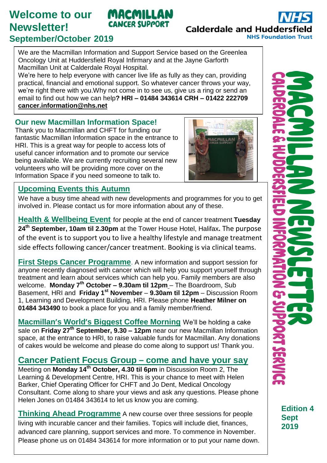# **Welcome to our Newsletter! September/October 2019**

### We are the Macmillan Information and Support Service based on the Greenlea Oncology Unit at Huddersfield Royal Infirmary and at the Jayne Garforth

Macmillan Unit at Calderdale Royal Hospital.

We're here to help everyone with cancer live life as fully as they can, providing practical, financial and emotional support. So whatever cancer throws your way, we're right there with you.Why not come in to see us, give us a ring or send an email to find out how we can help**? HRI – 01484 343614 CRH – 01422 222709 [cancer.information@nhs.net](mailto:cancer.information@nhs.net)**

MACMILLAN **CANCER SUPPORT** 

#### **Our new Macmillan Information Space!**

Thank you to Macmillan and CHFT for funding our fantastic Macmillan Information space in the entrance to HRI. This is a great way for people to access lots of useful cancer information and to promote our service being available. We are currently recruiting several new volunteers who will be providing more cover on the Information Space if you need someone to talk to.



#### **Upcoming Events this Autumn**

We have a busy time ahead with new developments and programmes for you to get involved in. Please contact us for more information about any of these.

**Health & Wellbeing Event** for people at the end of cancer treatment **Tuesday 24th September, 10am til 2.30pm** at the Tower House Hotel, Halifax**.** The purpose of the event is to support you to live a healthy lifestyle and manage treatment side effects following cancer/cancer treatment. Booking is via clinical teams.

**First Steps Cancer Programme**. A new information and support session for anyone recently diagnosed with cancer which will help you support yourself through treatment and learn about services which can help you. Family members are also welcome. **Monday 7th October – 9.30am til 12pm** – The Boardroom, Sub Basement, HRI and **Friday 1st November** – **9.30am til 12pm** – Discussion Room 1, Learning and Development Building, HRI. Please phone **Heather Milner on 01484 343490** to book a place for you and a family member/friend.

**Macmillan's World's Biggest Coffee Morning** We'll be holding a cake sale on **Friday 27th September, 9.30 – 12pm** near our new Macmillan Information space, at the entrance to HRI, to raise valuable funds for Macmillan. Any donations of cakes would be welcome and please do come along to support us! Thank you.

## **Cancer Patient Focus Group – come and have your say**

Meeting on **Monday 14th October, 4.30 til 6pm** in Discussion Room 2, The Learning & Development Centre, HRI. This is your chance to meet with Helen Barker, Chief Operating Officer for CHFT and Jo Dent, Medical Oncology Consultant. Come along to share your views and ask any questions. Please phone Helen Jones on 01484 343614 to let us know you are coming.

**Thinking Ahead Programme** A new course over three sessions for people living with incurable cancer and their families. Topics will include diet, finances, advanced care planning, support services and more. To commence in November. Please phone us on 01484 343614 for more information or to put your name down. **Edition 4 Sept 2019**